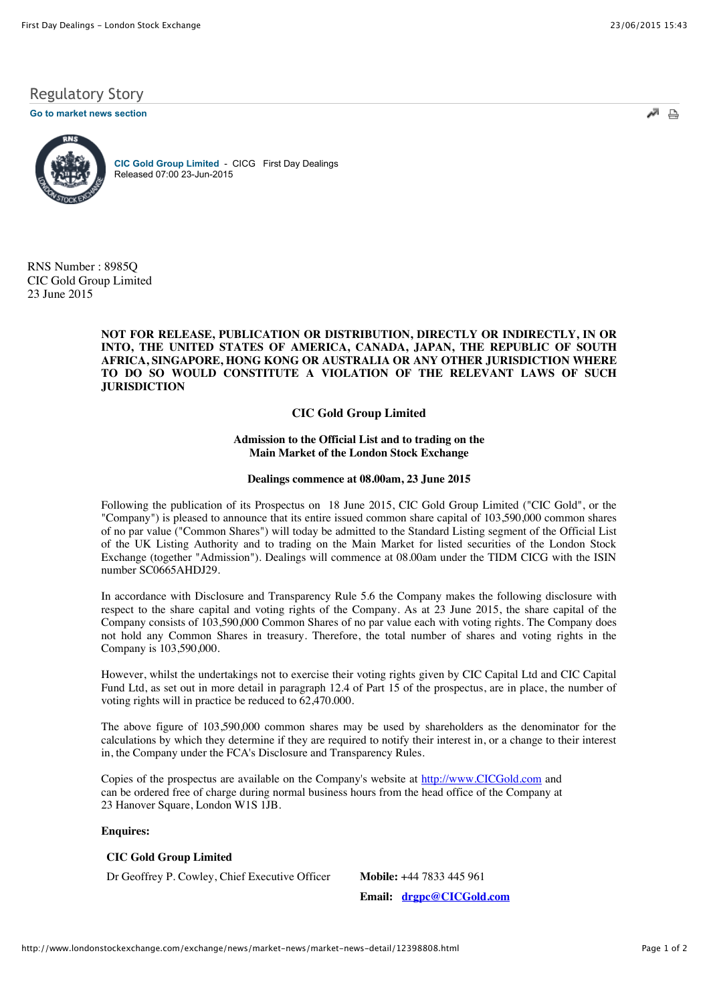# Regulatory Story

**[Go to market news section](javascript:%20sendto()**



**[CIC Gold Group Limited](http://www.londonstockexchange.com/exchange/prices-and-markets/stocks/summary/company-summary-via-tidm.html?tidm=CICG)** - CICG First Day Dealings Released 07:00 23-Jun-2015

RNS Number : 8985Q CIC Gold Group Limited 23 June 2015

# **NOT FOR RELEASE, PUBLICATION OR DISTRIBUTION, DIRECTLY OR INDIRECTLY, IN OR INTO, THE UNITED STATES OF AMERICA, CANADA, JAPAN, THE REPUBLIC OF SOUTH AFRICA, SINGAPORE, HONG KONG OR AUSTRALIA OR ANY OTHER JURISDICTION WHERE TO DO SO WOULD CONSTITUTE A VIOLATION OF THE RELEVANT LAWS OF SUCH JURISDICTION**

# **CIC Gold Group Limited**

### **Admission to the Official List and to trading on the Main Market of the London Stock Exchange**

#### **Dealings commence at 08.00am, 23 June 2015**

Following the publication of its Prospectus on 18 June 2015, CIC Gold Group Limited ("CIC Gold", or the "Company") is pleased to announce that its entire issued common share capital of 103,590,000 common shares of no par value ("Common Shares") will today be admitted to the Standard Listing segment of the Official List of the UK Listing Authority and to trading on the Main Market for listed securities of the London Stock Exchange (together "Admission"). Dealings will commence at 08.00am under the TIDM CICG with the ISIN number SC0665AHDJ29.

In accordance with Disclosure and Transparency Rule 5.6 the Company makes the following disclosure with respect to the share capital and voting rights of the Company. As at 23 June 2015, the share capital of the Company consists of 103,590,000 Common Shares of no par value each with voting rights. The Company does not hold any Common Shares in treasury. Therefore, the total number of shares and voting rights in the Company is 103,590,000.

However, whilst the undertakings not to exercise their voting rights given by CIC Capital Ltd and CIC Capital Fund Ltd, as set out in more detail in paragraph 12.4 of Part 15 of the prospectus, are in place, the number of voting rights will in practice be reduced to 62,470.000.

The above figure of 103,590,000 common shares may be used by shareholders as the denominator for the calculations by which they determine if they are required to notify their interest in, or a change to their interest in, the Company under the FCA's Disclosure and Transparency Rules.

Copies of the prospectus are available on the Company's website at [http://www.CICGold.com](http://www.cicgold.com/) and can be ordered free of charge during normal business hours from the head office of the Company at 23 Hanover Square, London W1S 1JB.

## **Enquires:**

## **CIC Gold Group Limited**

Dr Geoffrey P. Cowley, Chief Executive Officer **Mobile:** +44 7833 445 961

**Email: [drgpc@CICGold.com](mailto:drgpc@CICGold.com)**

 $\triangle$